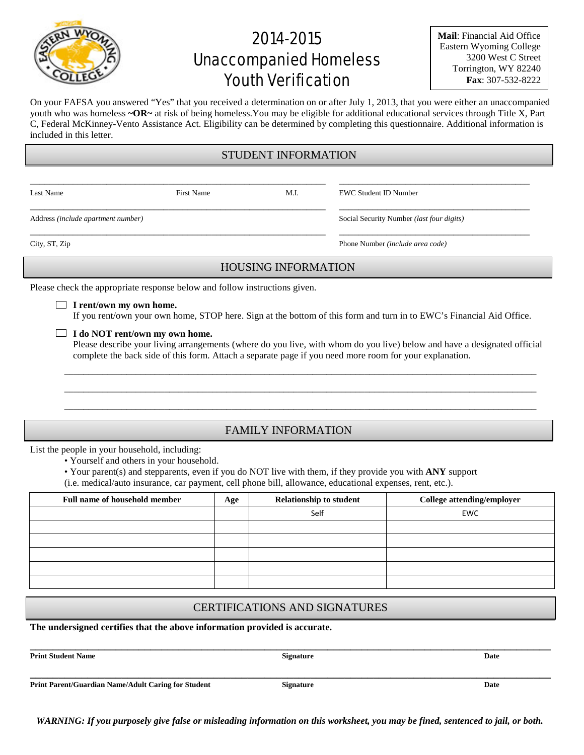# 2014-2015 Unaccompanied Homeless Youth Verification

**Mail**: Financial Aid Office Eastern Wyoming College 3200 West C Street Torrington, WY 82240 **Fax**: 307-532-8222

On your FAFSA you answered "Yes" that you received a determination on or after July 1, 2013, that you were either an unaccompanied youth who was homeless **~OR~** at risk of being homeless.You may be eligible for additional educational services through Title X, Part C, Federal McKinney-Vento Assistance Act. Eligibility can be determined by completing this questionnaire. Additional information is included in this letter.

#### STUDENT INFORMATION

\_\_\_\_\_\_\_\_\_\_\_\_\_\_\_\_\_\_\_\_\_\_\_\_\_\_\_\_\_\_\_\_\_\_\_\_\_\_\_\_\_\_\_\_\_\_\_\_\_\_\_\_\_\_\_\_\_\_\_\_\_\_ \_\_\_\_\_\_\_\_\_\_\_\_\_\_\_\_\_\_\_\_\_\_\_\_\_\_\_\_\_\_\_\_\_\_\_\_\_\_\_\_

\_\_\_\_\_\_\_\_\_\_\_\_\_\_\_\_\_\_\_\_\_\_\_\_\_\_\_\_\_\_\_\_\_\_\_\_\_\_\_\_\_\_\_\_\_\_\_\_\_\_\_\_\_\_\_\_\_\_\_\_\_\_ \_\_\_\_\_\_\_\_\_\_\_\_\_\_\_\_\_\_\_\_\_\_\_\_\_\_\_\_\_\_\_\_\_\_\_\_\_\_\_\_

Last Name First Name M.I. EWC Student ID Number

Address *(include apartment number)* Social Security Number *(last four digits)*

\_\_\_\_\_\_\_\_\_\_\_\_\_\_\_\_\_\_\_\_\_\_\_\_\_\_\_\_\_\_\_\_\_\_\_\_\_\_\_\_\_\_\_\_\_\_\_\_\_\_\_\_\_\_\_\_\_\_\_\_\_\_ \_\_\_\_\_\_\_\_\_\_\_\_\_\_\_\_\_\_\_\_\_\_\_\_\_\_\_\_\_\_\_\_\_\_\_\_\_\_\_\_

City, ST, Zip Phone Number *(include area code)*

### HOUSING INFORMATION

Please check the appropriate response below and follow instructions given.

#### **I rent/own my own home.**

If you rent/own your own home, STOP here. Sign at the bottom of this form and turn in to EWC's Financial Aid Office.

#### **I do NOT rent/own my own home.**

Please describe your living arrangements (where do you live, with whom do you live) below and have a designated official complete the back side of this form. Attach a separate page if you need more room for your explanation.

\_\_\_\_\_\_\_\_\_\_\_\_\_\_\_\_\_\_\_\_\_\_\_\_\_\_\_\_\_\_\_\_\_\_\_\_\_\_\_\_\_\_\_\_\_\_\_\_\_\_\_\_\_\_\_\_\_\_\_\_\_\_\_\_\_\_\_\_\_\_\_\_\_\_\_\_\_\_\_\_\_\_\_\_\_\_\_\_\_\_\_\_\_\_\_\_\_\_\_ \_\_\_\_\_\_\_\_\_\_\_\_\_\_\_\_\_\_\_\_\_\_\_\_\_\_\_\_\_\_\_\_\_\_\_\_\_\_\_\_\_\_\_\_\_\_\_\_\_\_\_\_\_\_\_\_\_\_\_\_\_\_\_\_\_\_\_\_\_\_\_\_\_\_\_\_\_\_\_\_\_\_\_\_\_\_\_\_\_\_\_\_\_\_\_\_\_\_\_ \_\_\_\_\_\_\_\_\_\_\_\_\_\_\_\_\_\_\_\_\_\_\_\_\_\_\_\_\_\_\_\_\_\_\_\_\_\_\_\_\_\_\_\_\_\_\_\_\_\_\_\_\_\_\_\_\_\_\_\_\_\_\_\_\_\_\_\_\_\_\_\_\_\_\_\_\_\_\_\_\_\_\_\_\_\_\_\_\_\_\_\_\_\_\_\_\_\_\_

### FAMILY INFORMATION

List the people in your household, including:

- Yourself and others in your household.
- Your parent(s) and stepparents, even if you do NOT live with them, if they provide you with **ANY** support
- (i.e. medical/auto insurance, car payment, cell phone bill, allowance, educational expenses, rent, etc.).

| Full name of household member | Age | <b>Relationship to student</b> | College attending/employer |
|-------------------------------|-----|--------------------------------|----------------------------|
|                               |     | Self                           | <b>EWC</b>                 |
|                               |     |                                |                            |
|                               |     |                                |                            |
|                               |     |                                |                            |
|                               |     |                                |                            |
|                               |     |                                |                            |

#### CERTIFICATIONS AND SIGNATURES

**The undersigned certifies that the above information provided is accurate.**

**Print Student Name 5.2. Date** 2.1 **Contract Student Name 3.2. Date** 3.2. Date 3.2. Date

**\_\_\_\_\_\_\_\_\_\_\_\_\_\_\_\_\_\_\_\_\_\_\_\_\_\_\_\_\_\_\_\_\_\_\_\_\_\_\_\_\_\_\_\_\_\_\_\_\_\_\_\_\_\_\_\_\_\_\_\_\_\_\_\_\_\_\_\_\_\_\_\_\_\_\_\_\_\_\_\_\_\_\_\_\_\_\_\_\_\_\_**

**\_\_\_\_\_\_\_\_\_\_\_\_\_\_\_\_\_\_\_\_\_\_\_\_\_\_\_\_\_\_\_\_\_\_\_\_\_\_\_\_\_\_\_\_\_\_\_\_\_\_\_\_\_\_\_\_\_\_\_\_\_\_\_\_\_\_\_\_\_\_\_\_\_\_\_\_\_\_\_\_\_\_\_\_\_\_\_\_\_\_\_**

**Print Parent/Guardian Name/Adult Caring for Student Signature Signature Signature Date** 

*WARNING: If you purposely give false or misleading information on this worksheet, you may be fined, sentenced to jail, or both.*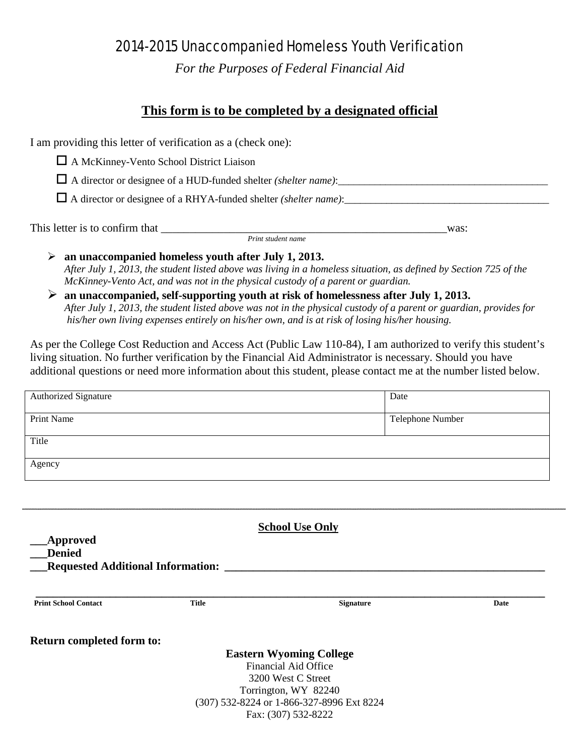## 2014-2015 Unaccompanied Homeless Youth Verification

*For the Purposes of Federal Financial Aid*

## **This form is to be completed by a designated official**

I am providing this letter of verification as a (check one):

A McKinney-Vento School District Liaison

 $\Box$  A director or designee of a HUD-funded shelter *(shelter name)*:

A director or designee of a RHYA-funded shelter *(shelter name)*:\_\_\_\_\_\_\_\_\_\_\_\_\_\_\_\_\_\_\_\_\_\_\_\_\_\_\_\_\_\_\_\_\_\_\_\_\_\_\_

This letter is to confirm that \_\_\_\_\_\_\_\_\_\_\_\_\_\_\_\_\_\_\_\_\_\_\_\_\_\_\_\_\_\_\_\_\_\_\_\_\_\_\_\_\_\_\_\_\_\_\_\_\_\_was: *Print student name*

 **an unaccompanied homeless youth after July 1, 2013.** *After July 1, 2013, the student listed above was living in a homeless situation, as defined by Section 725 of the McKinney-Vento Act, and was not in the physical custody of a parent or guardian.* 

 **an unaccompanied, self-supporting youth at risk of homelessness after July 1, 2013.** *After July 1, 2013, the student listed above was not in the physical custody of a parent or guardian, provides for his/her own living expenses entirely on his/her own, and is at risk of losing his/her housing.* 

As per the College Cost Reduction and Access Act (Public Law 110-84), I am authorized to verify this student's living situation. No further verification by the Financial Aid Administrator is necessary. Should you have additional questions or need more information about this student, please contact me at the number listed below.

| <b>Authorized Signature</b>                                                  |              | Date                                                              |      |
|------------------------------------------------------------------------------|--------------|-------------------------------------------------------------------|------|
| <b>Print Name</b>                                                            |              | Telephone Number                                                  |      |
| Title                                                                        |              |                                                                   |      |
| Agency                                                                       |              |                                                                   |      |
|                                                                              |              |                                                                   |      |
|                                                                              |              | <b>School Use Only</b>                                            |      |
|                                                                              |              |                                                                   |      |
| <b>Approved</b><br><b>Denied</b><br><b>Requested Additional Information:</b> |              |                                                                   |      |
| <b>Print School Contact</b>                                                  | <b>Title</b> | <b>Signature</b>                                                  | Date |
| Return completed form to:                                                    |              |                                                                   |      |
|                                                                              |              | <b>Eastern Wyoming College</b>                                    |      |
|                                                                              |              | Financial Aid Office                                              |      |
|                                                                              |              | 3200 West C Street                                                |      |
|                                                                              |              | Torrington, WY 82240<br>(307) 532-8224 or 1-866-327-8996 Ext 8224 |      |